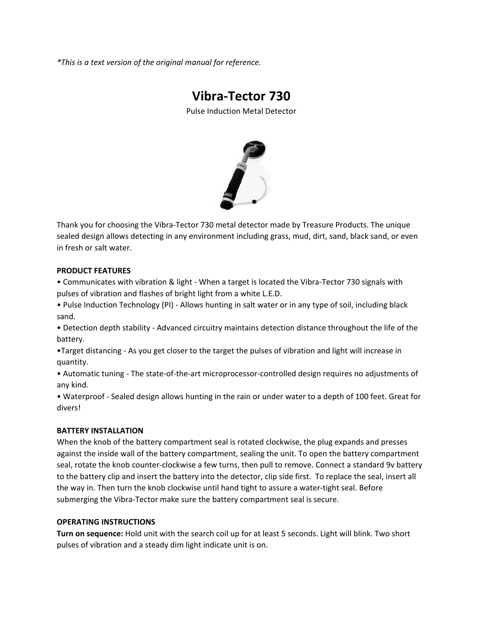*\*This is a text version of the original manual for reference.*

# **Vibra‐Tector 730**

Pulse Induction Metal Detector



Thank you for choosing the Vibra‐Tector 730 metal detector made by Treasure Products. The unique sealed design allows detecting in any environment including grass, mud, dirt, sand, black sand, or even in fresh or salt water.

# **PRODUCT FEATURES**

• Communicates with vibration & light ‐ When a target is located the Vibra‐Tector 730 signals with pulses of vibration and flashes of bright light from a white L.E.D.

• Pulse Induction Technology (PI) ‐ Allows hunting in salt water or in any type of soil, including black sand.

• Detection depth stability ‐ Advanced circuitry maintains detection distance throughout the life of the battery.

•Target distancing ‐ As you get closer to the target the pulses of vibration and light will increase in quantity.

• Automatic tuning ‐ The state‐of‐the‐art microprocessor‐controlled design requires no adjustments of any kind.

• Waterproof ‐ Sealed design allows hunting in the rain or under water to a depth of 100 feet. Great for divers!

# **BATTERY INSTALLATION**

When the knob of the battery compartment seal is rotated clockwise, the plug expands and presses against the inside wall of the battery compartment, sealing the unit. To open the battery compartment seal, rotate the knob counter‐clockwise a few turns, then pull to remove. Connect a standard 9v battery to the battery clip and insert the battery into the detector, clip side first. To replace the seal, insert all the way in. Then turn the knob clockwise until hand tight to assure a water‐tight seal. Before submerging the Vibra-Tector make sure the battery compartment seal is secure.

## **OPERATING INSTRUCTIONS**

**Turn on sequence:** Hold unit with the search coil up for at least 5 seconds. Light will blink. Two short pulses of vibration and a steady dim light indicate unit is on.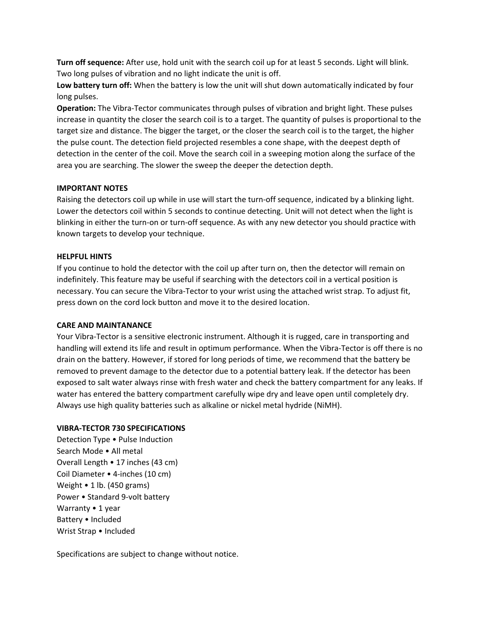**Turn off sequence:** After use, hold unit with the search coil up for at least 5 seconds. Light will blink. Two long pulses of vibration and no light indicate the unit is off.

**Low battery turn off:** When the battery is low the unit will shut down automatically indicated by four long pulses.

**Operation:** The Vibra‐Tector communicates through pulses of vibration and bright light. These pulses increase in quantity the closer the search coil is to a target. The quantity of pulses is proportional to the target size and distance. The bigger the target, or the closer the search coil is to the target, the higher the pulse count. The detection field projected resembles a cone shape, with the deepest depth of detection in the center of the coil. Move the search coil in a sweeping motion along the surface of the area you are searching. The slower the sweep the deeper the detection depth.

## **IMPORTANT NOTES**

Raising the detectors coil up while in use will start the turn-off sequence, indicated by a blinking light. Lower the detectors coil within 5 seconds to continue detecting. Unit will not detect when the light is blinking in either the turn‐on or turn‐off sequence. As with any new detector you should practice with known targets to develop your technique.

## **HELPFUL HINTS**

If you continue to hold the detector with the coil up after turn on, then the detector will remain on indefinitely. This feature may be useful if searching with the detectors coil in a vertical position is necessary. You can secure the Vibra‐Tector to your wrist using the attached wrist strap. To adjust fit, press down on the cord lock button and move it to the desired location.

# **CARE AND MAINTANANCE**

Your Vibra‐Tector is a sensitive electronic instrument. Although it is rugged, care in transporting and handling will extend its life and result in optimum performance. When the Vibra-Tector is off there is no drain on the battery. However, if stored for long periods of time, we recommend that the battery be removed to prevent damage to the detector due to a potential battery leak. If the detector has been exposed to salt water always rinse with fresh water and check the battery compartment for any leaks. If water has entered the battery compartment carefully wipe dry and leave open until completely dry. Always use high quality batteries such as alkaline or nickel metal hydride (NiMH).

## **VIBRA‐TECTOR 730 SPECIFICATIONS**

Detection Type • Pulse Induction Search Mode • All metal Overall Length • 17 inches (43 cm) Coil Diameter • 4‐inches (10 cm) Weight • 1 lb. (450 grams) Power • Standard 9‐volt battery Warranty • 1 year Battery • Included Wrist Strap • Included

Specifications are subject to change without notice.